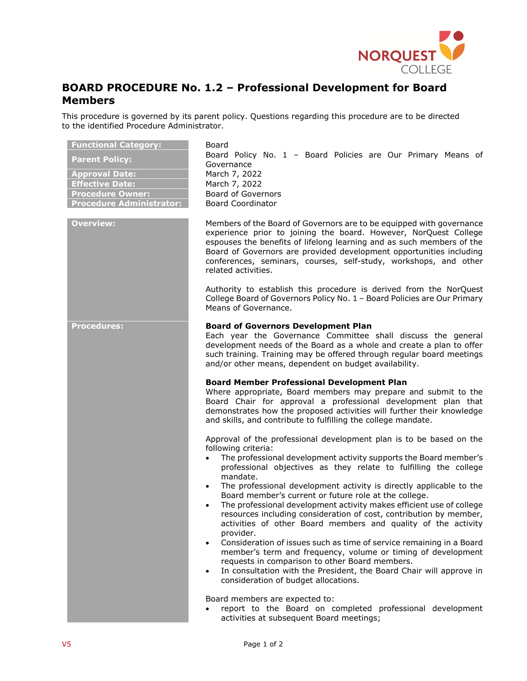

## **BOARD PROCEDURE No. 1.2 – Professional Development for Board Members**

This procedure is governed by its parent policy. Questions regarding this procedure are to be directed to the identified Procedure Administrator.

| <b>Functional Category:</b><br><b>Parent Policy:</b><br><b>Approval Date:</b><br><b>Effective Date:</b><br><b>Procedure Owner:</b><br><b>Procedure Administrator:</b> | Board<br>Board Policy No. 1 - Board Policies are Our Primary Means of<br>Governance<br>March 7, 2022<br>March 7, 2022<br><b>Board of Governors</b><br><b>Board Coordinator</b>                                                                                                                                                                                                                                                                                                                                                                                                                                                                                                                                                                                                                                                  |
|-----------------------------------------------------------------------------------------------------------------------------------------------------------------------|---------------------------------------------------------------------------------------------------------------------------------------------------------------------------------------------------------------------------------------------------------------------------------------------------------------------------------------------------------------------------------------------------------------------------------------------------------------------------------------------------------------------------------------------------------------------------------------------------------------------------------------------------------------------------------------------------------------------------------------------------------------------------------------------------------------------------------|
| <b>Overview:</b>                                                                                                                                                      | Members of the Board of Governors are to be equipped with governance<br>experience prior to joining the board. However, NorQuest College<br>espouses the benefits of lifelong learning and as such members of the<br>Board of Governors are provided development opportunities including<br>conferences, seminars, courses, self-study, workshops, and other<br>related activities.                                                                                                                                                                                                                                                                                                                                                                                                                                             |
|                                                                                                                                                                       | Authority to establish this procedure is derived from the NorQuest<br>College Board of Governors Policy No. 1 - Board Policies are Our Primary<br>Means of Governance.                                                                                                                                                                                                                                                                                                                                                                                                                                                                                                                                                                                                                                                          |
| <b>Procedures:</b>                                                                                                                                                    | <b>Board of Governors Development Plan</b><br>Each year the Governance Committee shall discuss the general<br>development needs of the Board as a whole and create a plan to offer<br>such training. Training may be offered through regular board meetings<br>and/or other means, dependent on budget availability.                                                                                                                                                                                                                                                                                                                                                                                                                                                                                                            |
|                                                                                                                                                                       | <b>Board Member Professional Development Plan</b><br>Where appropriate, Board members may prepare and submit to the<br>Board Chair for approval a professional development plan that<br>demonstrates how the proposed activities will further their knowledge<br>and skills, and contribute to fulfilling the college mandate.                                                                                                                                                                                                                                                                                                                                                                                                                                                                                                  |
|                                                                                                                                                                       | Approval of the professional development plan is to be based on the<br>following criteria:<br>The professional development activity supports the Board member's<br>professional objectives as they relate to fulfilling the college<br>mandate.<br>The professional development activity is directly applicable to the<br>$\bullet$<br>Board member's current or future role at the college.<br>The professional development activity makes efficient use of college<br>resources including consideration of cost, contribution by member,<br>activities of other Board members and quality of the activity<br>provider.<br>Consideration of issues such as time of service remaining in a Board<br>$\bullet$<br>member's term and frequency, volume or timing of development<br>requests in comparison to other Board members. |
|                                                                                                                                                                       | In consultation with the President, the Board Chair will approve in<br>$\bullet$<br>consideration of budget allocations.<br>Board members are expected to:<br>report to the Board on completed professional development<br>activities at subsequent Board meetings;                                                                                                                                                                                                                                                                                                                                                                                                                                                                                                                                                             |